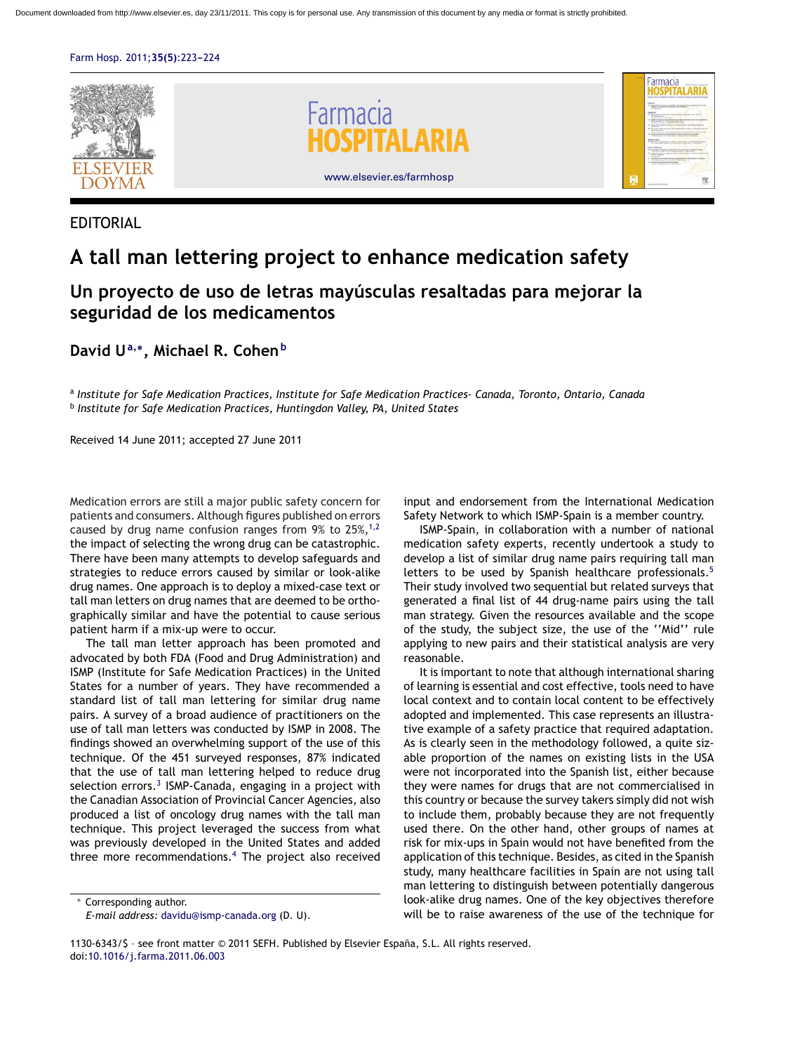



EDITORIAL

## **A tall man lettering project to enhance medication safety**

## **Un proyecto de uso de letras mayúsculas resaltadas para mejorar la seguridad de los medicamentos**

**David U<sup>a</sup>,∗, Michael R. Cohen<sup>b</sup>**

<sup>a</sup> *Institute for Safe Medication Practices, Institute for Safe Medication Practices- Canada, Toronto, Ontario, Canada* <sup>b</sup> *Institute for Safe Medication Practices, Huntingdon Valley, PA, United States*

Received 14 June 2011; accepted 27 June 2011

Medication errors are still a major public safety concern for patients and consumers. Although figures published on errors caused by drug name confusion ranges from  $9\%$  to  $25\%,^{1,2}$  $25\%,^{1,2}$  $25\%,^{1,2}$ the impact of selecting the wrong drug can be catastrophic. There have been many attempts to develop safeguards and strategies to reduce errors caused by similar or look-alike drug names. One approach is to deploy a mixed-case text or tall man letters on drug names that are deemed to be orthographically similar and have the potential to cause serious patient harm if a mix-up were to occur.

The tall man letter approach has been promoted and advocated by both FDA (Food and Drug Administration) and ISMP (Institute for Safe Medication Practices) in the United States for a number of years. They have recommended a standard list of tall man lettering for similar drug name pairs. A survey of a broad audience of practitioners on the use of tall man letters was conducted by ISMP in 2008. The findings showed an overwhelming support of the use of this technique. Of the 451 surveyed responses, 87% indicated that the use of tall man lettering helped to reduce drug selection errors.<sup>[3](#page-1-0)</sup> ISMP-Canada, engaging in a project with the Canadian Association of Provincial Cancer Agencies, also produced a list of oncology drug names with the tall man technique. This project leveraged the success from what was previously developed in the United States and added three more recommendations. $4$  The project also received

∗ Corresponding author.

input and endorsement from the International Medication Safety Network to which ISMP-Spain is a member country.

ISMP-Spain, in collaboration with a number of national medication safety experts, recently undertook a study to develop a list of similar drug name pairs requiring tall man letters to be used by Spanish healthcare professionals.<sup>[5](#page-1-0)</sup> Their study involved two sequential but related surveys that generated a final list of 44 drug-name pairs using the tall man strategy. Given the resources available and the scope of the study, the subject size, the use of the ''Mid'' rule applying to new pairs and their statistical analysis are very reasonable.

It is important to note that although international sharing of learning is essential and cost effective, tools need to have local context and to contain local content to be effectively adopted and implemented. This case represents an illustrative example of a safety practice that required adaptation. As is clearly seen in the methodology followed, a quite sizable proportion of the names on existing lists in the USA were not incorporated into the Spanish list, either because they were names for drugs that are not commercialised in this country or because the survey takers simply did not wish to include them, probably because they are not frequently used there. On the other hand, other groups of names at risk for mix-ups in Spain would not have benefited from the application of this technique. Besides, as cited in the Spanish study, many healthcare facilities in Spain are not using tall man lettering to distinguish between potentially dangerous look-alike drug names. One of the key objectives therefore will be to raise awareness of the use of the technique for

*E-mail address:* [davidu@ismp-canada.org](mailto:davidu@ismp-canada.org) (D. U).

<sup>1130-6343/\$ –</sup> see front matter © 2011 SEFH. Published by Elsevier España, S.L. All rights reserved. doi[:10.1016/j.farma.2011.06.003](dx.doi.org/10.1016/j.farma.2011.06.003)